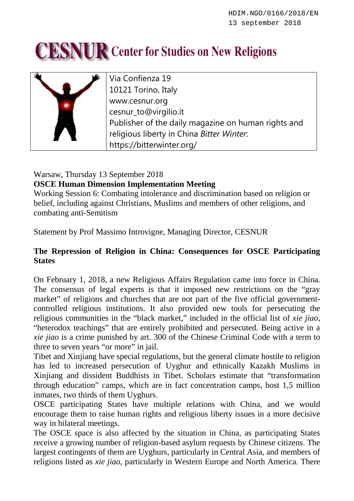## **CESNUR** Center for Studies on New Religions



Via Confienza 19 10121 Torino, Italy www.cesnur.org cesnur\_to@virgilio.it Publisher of the daily magazine on human rights and religious liberty in China *Bitter Winter*: https://bitterwinter.org/

## Warsaw, Thursday 13 September 2018

## **OSCE Human Dimension Implementation Meeting**

Working Session 6: Combating intolerance and discrimination based on religion or belief, including against Christians, Muslims and members of other religions, and combating anti-Semitism

Statement by Prof Massimo Introvigne, Managing Director, CESNUR

## **The Repression of Religion in China: Consequences for OSCE Participating States**

On February 1, 2018, a new Religious Affairs Regulation came into force in China. The consensus of legal experts is that it imposed new restrictions on the "gray market" of religions and churches that are not part of the five official governmentcontrolled religious institutions. It also provided new tools for persecuting the religious communities in the "black market," included in the official list of *xie jiao*, "heterodox teachings" that are entirely prohibited and persecuted. Being active in a *xie jiao* is a crime punished by art. 300 of the Chinese Criminal Code with a term to three to seven years "or more" in jail.

Tibet and Xinjiang have special regulations, but the general climate hostile to religion has led to increased persecution of Uyghur and ethnically Kazakh Muslims in Xinjiang and dissident Buddhists in Tibet. Scholars estimate that "transformation through education" camps, which are in fact concentration camps, host 1,5 million inmates, two thirds of them Uyghurs.

OSCE participating States have multiple relations with China, and we would encourage them to raise human rights and religious liberty issues in a more decisive way in bilateral meetings.

The OSCE space is also affected by the situation in China, as participating States receive a growing number of religion-based asylum requests by Chinese citizens. The largest contingents of them are Uyghurs, particularly in Central Asia, and members of religions listed as *xie jiao*, particularly in Western Europe and North America. There